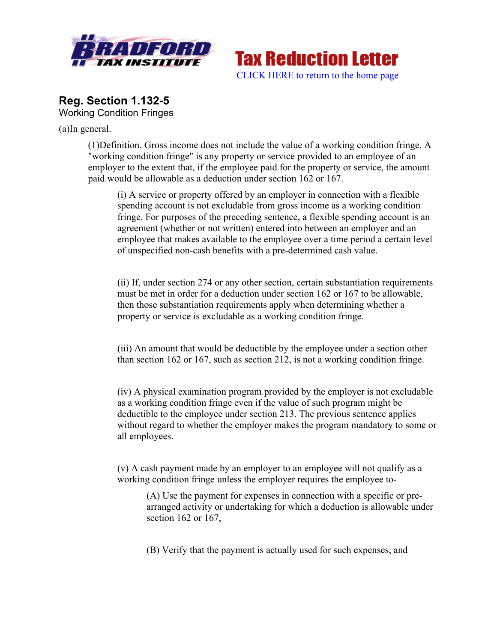



# **Reg. Section 1.132-5** Working Condition Fringes

(a)In general.

(1)Definition. Gross income does not include the value of a working condition fringe. A "working condition fringe" is any property or service provided to an employee of an employer to the extent that, if the employee paid for the property or service, the amount paid would be allowable as a deduction under section 162 or 167.

(i) A service or property offered by an employer in connection with a flexible spending account is not excludable from gross income as a working condition fringe. For purposes of the preceding sentence, a flexible spending account is an agreement (whether or not written) entered into between an employer and an employee that makes available to the employee over a time period a certain level of unspecified non-cash benefits with a pre-determined cash value.

(ii) If, under section 274 or any other section, certain substantiation requirements must be met in order for a deduction under section 162 or 167 to be allowable, then those substantiation requirements apply when determining whether a property or service is excludable as a working condition fringe.

(iii) An amount that would be deductible by the employee under a section other than section 162 or 167, such as section 212, is not a working condition fringe.

(iv) A physical examination program provided by the employer is not excludable as a working condition fringe even if the value of such program might be deductible to the employee under section 213. The previous sentence applies without regard to whether the employer makes the program mandatory to some or all employees.

(v) A cash payment made by an employer to an employee will not qualify as a working condition fringe unless the employer requires the employee to-

(A) Use the payment for expenses in connection with a specific or prearranged activity or undertaking for which a deduction is allowable under section 162 or 167,

(B) Verify that the payment is actually used for such expenses, and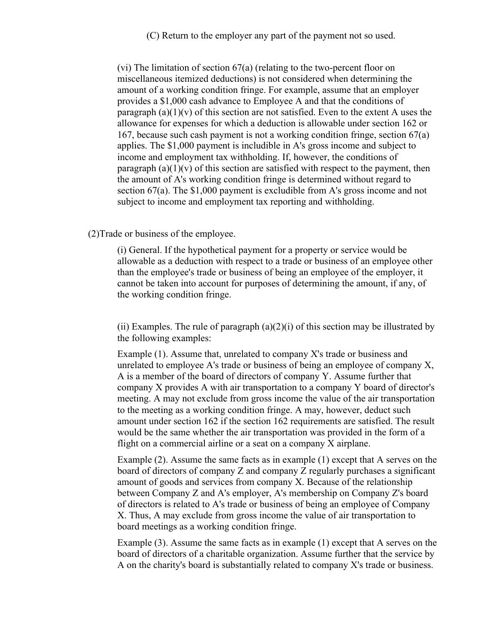(C) Return to the employer any part of the payment not so used.

(vi) The limitation of section 67(a) (relating to the two-percent floor on miscellaneous itemized deductions) is not considered when determining the amount of a working condition fringe. For example, assume that an employer provides a \$1,000 cash advance to Employee A and that the conditions of paragraph  $(a)(1)(v)$  of this section are not satisfied. Even to the extent A uses the allowance for expenses for which a deduction is allowable under section 162 or 167, because such cash payment is not a working condition fringe, section 67(a) applies. The \$1,000 payment is includible in A's gross income and subject to income and employment tax withholding. If, however, the conditions of paragraph  $(a)(1)(v)$  of this section are satisfied with respect to the payment, then the amount of A's working condition fringe is determined without regard to section 67(a). The \$1,000 payment is excludible from A's gross income and not subject to income and employment tax reporting and withholding.

#### (2)Trade or business of the employee.

(i) General. If the hypothetical payment for a property or service would be allowable as a deduction with respect to a trade or business of an employee other than the employee's trade or business of being an employee of the employer, it cannot be taken into account for purposes of determining the amount, if any, of the working condition fringe.

(ii) Examples. The rule of paragraph  $(a)(2)(i)$  of this section may be illustrated by the following examples:

Example (1). Assume that, unrelated to company X's trade or business and unrelated to employee A's trade or business of being an employee of company X, A is a member of the board of directors of company Y. Assume further that company X provides A with air transportation to a company Y board of director's meeting. A may not exclude from gross income the value of the air transportation to the meeting as a working condition fringe. A may, however, deduct such amount under section 162 if the section 162 requirements are satisfied. The result would be the same whether the air transportation was provided in the form of a flight on a commercial airline or a seat on a company X airplane.

Example (2). Assume the same facts as in example (1) except that A serves on the board of directors of company Z and company Z regularly purchases a significant amount of goods and services from company X. Because of the relationship between Company Z and A's employer, A's membership on Company Z's board of directors is related to A's trade or business of being an employee of Company X. Thus, A may exclude from gross income the value of air transportation to board meetings as a working condition fringe.

Example (3). Assume the same facts as in example (1) except that A serves on the board of directors of a charitable organization. Assume further that the service by A on the charity's board is substantially related to company X's trade or business.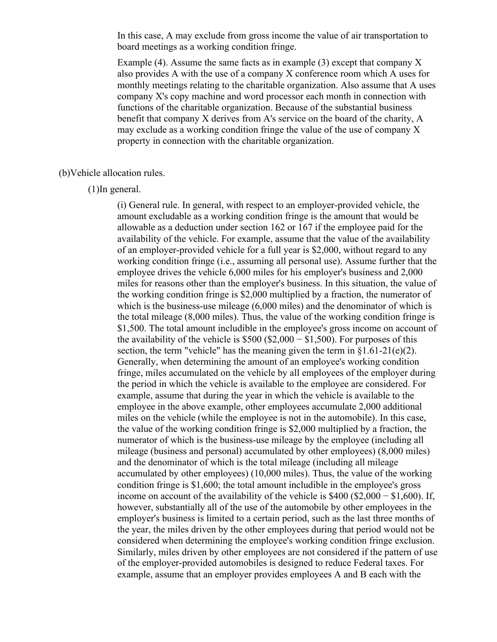In this case, A may exclude from gross income the value of air transportation to board meetings as a working condition fringe.

Example  $(4)$ . Assume the same facts as in example  $(3)$  except that company X also provides A with the use of a company X conference room which A uses for monthly meetings relating to the charitable organization. Also assume that A uses company X's copy machine and word processor each month in connection with functions of the charitable organization. Because of the substantial business benefit that company X derives from A's service on the board of the charity, A may exclude as a working condition fringe the value of the use of company X property in connection with the charitable organization.

#### (b)Vehicle allocation rules.

(1)In general.

(i) General rule. In general, with respect to an employer-provided vehicle, the amount excludable as a working condition fringe is the amount that would be allowable as a deduction under section 162 or 167 if the employee paid for the availability of the vehicle. For example, assume that the value of the availability of an employer-provided vehicle for a full year is \$2,000, without regard to any working condition fringe (i.e., assuming all personal use). Assume further that the employee drives the vehicle 6,000 miles for his employer's business and 2,000 miles for reasons other than the employer's business. In this situation, the value of the working condition fringe is \$2,000 multiplied by a fraction, the numerator of which is the business-use mileage (6,000 miles) and the denominator of which is the total mileage (8,000 miles). Thus, the value of the working condition fringe is \$1,500. The total amount includible in the employee's gross income on account of the availability of the vehicle is  $$500 ($2,000 - $1,500)$ . For purposes of this section, the term "vehicle" has the meaning given the term in  $\S1.61-21(e)(2)$ . Generally, when determining the amount of an employee's working condition fringe, miles accumulated on the vehicle by all employees of the employer during the period in which the vehicle is available to the employee are considered. For example, assume that during the year in which the vehicle is available to the employee in the above example, other employees accumulate 2,000 additional miles on the vehicle (while the employee is not in the automobile). In this case, the value of the working condition fringe is \$2,000 multiplied by a fraction, the numerator of which is the business-use mileage by the employee (including all mileage (business and personal) accumulated by other employees) (8,000 miles) and the denominator of which is the total mileage (including all mileage accumulated by other employees) (10,000 miles). Thus, the value of the working condition fringe is \$1,600; the total amount includible in the employee's gross income on account of the availability of the vehicle is \$400 (\$2,000 − \$1,600). If, however, substantially all of the use of the automobile by other employees in the employer's business is limited to a certain period, such as the last three months of the year, the miles driven by the other employees during that period would not be considered when determining the employee's working condition fringe exclusion. Similarly, miles driven by other employees are not considered if the pattern of use of the employer-provided automobiles is designed to reduce Federal taxes. For example, assume that an employer provides employees A and B each with the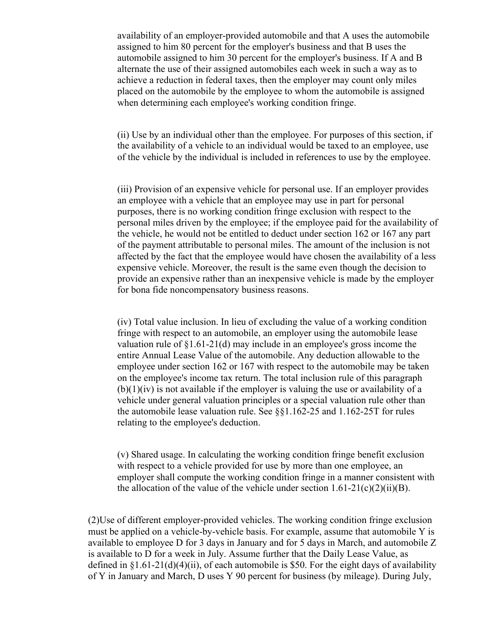availability of an employer-provided automobile and that A uses the automobile assigned to him 80 percent for the employer's business and that B uses the automobile assigned to him 30 percent for the employer's business. If A and B alternate the use of their assigned automobiles each week in such a way as to achieve a reduction in federal taxes, then the employer may count only miles placed on the automobile by the employee to whom the automobile is assigned when determining each employee's working condition fringe.

(ii) Use by an individual other than the employee. For purposes of this section, if the availability of a vehicle to an individual would be taxed to an employee, use of the vehicle by the individual is included in references to use by the employee.

(iii) Provision of an expensive vehicle for personal use. If an employer provides an employee with a vehicle that an employee may use in part for personal purposes, there is no working condition fringe exclusion with respect to the personal miles driven by the employee; if the employee paid for the availability of the vehicle, he would not be entitled to deduct under section 162 or 167 any part of the payment attributable to personal miles. The amount of the inclusion is not affected by the fact that the employee would have chosen the availability of a less expensive vehicle. Moreover, the result is the same even though the decision to provide an expensive rather than an inexpensive vehicle is made by the employer for bona fide noncompensatory business reasons.

(iv) Total value inclusion. In lieu of excluding the value of a working condition fringe with respect to an automobile, an employer using the automobile lease valuation rule of §1.61-21(d) may include in an employee's gross income the entire Annual Lease Value of the automobile. Any deduction allowable to the employee under section 162 or 167 with respect to the automobile may be taken on the employee's income tax return. The total inclusion rule of this paragraph  $(b)(1)(iv)$  is not available if the employer is valuing the use or availability of a vehicle under general valuation principles or a special valuation rule other than the automobile lease valuation rule. See §§1.162-25 and 1.162-25T for rules relating to the employee's deduction.

(v) Shared usage. In calculating the working condition fringe benefit exclusion with respect to a vehicle provided for use by more than one employee, an employer shall compute the working condition fringe in a manner consistent with the allocation of the value of the vehicle under section  $1.61-21(c)(2)(ii)(B)$ .

(2)Use of different employer-provided vehicles. The working condition fringe exclusion must be applied on a vehicle-by-vehicle basis. For example, assume that automobile Y is available to employee D for 3 days in January and for 5 days in March, and automobile Z is available to D for a week in July. Assume further that the Daily Lease Value, as defined in  $\S1.61-21(d)(4)(ii)$ , of each automobile is \$50. For the eight days of availability of Y in January and March, D uses Y 90 percent for business (by mileage). During July,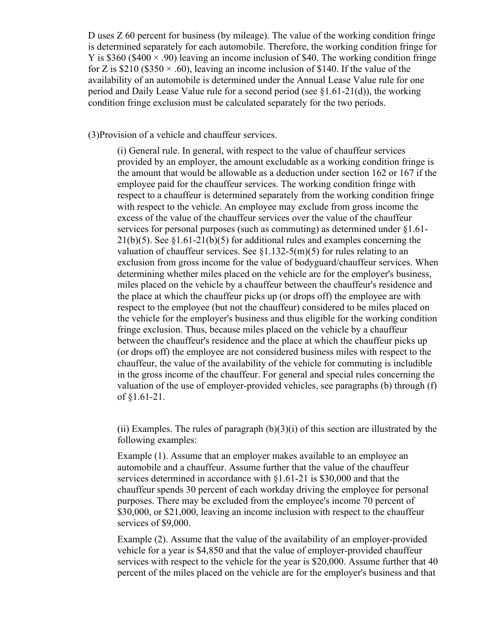D uses Z 60 percent for business (by mileage). The value of the working condition fringe is determined separately for each automobile. Therefore, the working condition fringe for Y is \$360 (\$400  $\times$  .90) leaving an income inclusion of \$40. The working condition fringe for Z is \$210 (\$350  $\times$  .60), leaving an income inclusion of \$140. If the value of the availability of an automobile is determined under the Annual Lease Value rule for one period and Daily Lease Value rule for a second period (see §1.61-21(d)), the working condition fringe exclusion must be calculated separately for the two periods.

(3)Provision of a vehicle and chauffeur services.

(i) General rule. In general, with respect to the value of chauffeur services provided by an employer, the amount excludable as a working condition fringe is the amount that would be allowable as a deduction under section 162 or 167 if the employee paid for the chauffeur services. The working condition fringe with respect to a chauffeur is determined separately from the working condition fringe with respect to the vehicle. An employee may exclude from gross income the excess of the value of the chauffeur services over the value of the chauffeur services for personal purposes (such as commuting) as determined under §1.61-  $21(b)(5)$ . See §1.61-21(b)(5) for additional rules and examples concerning the valuation of chauffeur services. See  $\S1.132-5(m)(5)$  for rules relating to an exclusion from gross income for the value of bodyguard/chauffeur services. When determining whether miles placed on the vehicle are for the employer's business, miles placed on the vehicle by a chauffeur between the chauffeur's residence and the place at which the chauffeur picks up (or drops off) the employee are with respect to the employee (but not the chauffeur) considered to be miles placed on the vehicle for the employer's business and thus eligible for the working condition fringe exclusion. Thus, because miles placed on the vehicle by a chauffeur between the chauffeur's residence and the place at which the chauffeur picks up (or drops off) the employee are not considered business miles with respect to the chauffeur, the value of the availability of the vehicle for commuting is includible in the gross income of the chauffeur. For general and special rules concerning the valuation of the use of employer-provided vehicles, see paragraphs (b) through (f) of §1.61-21.

(ii) Examples. The rules of paragraph  $(b)(3)(i)$  of this section are illustrated by the following examples:

Example (1). Assume that an employer makes available to an employee an automobile and a chauffeur. Assume further that the value of the chauffeur services determined in accordance with §1.61-21 is \$30,000 and that the chauffeur spends 30 percent of each workday driving the employee for personal purposes. There may be excluded from the employee's income 70 percent of \$30,000, or \$21,000, leaving an income inclusion with respect to the chauffeur services of \$9,000.

Example (2). Assume that the value of the availability of an employer-provided vehicle for a year is \$4,850 and that the value of employer-provided chauffeur services with respect to the vehicle for the year is \$20,000. Assume further that 40 percent of the miles placed on the vehicle are for the employer's business and that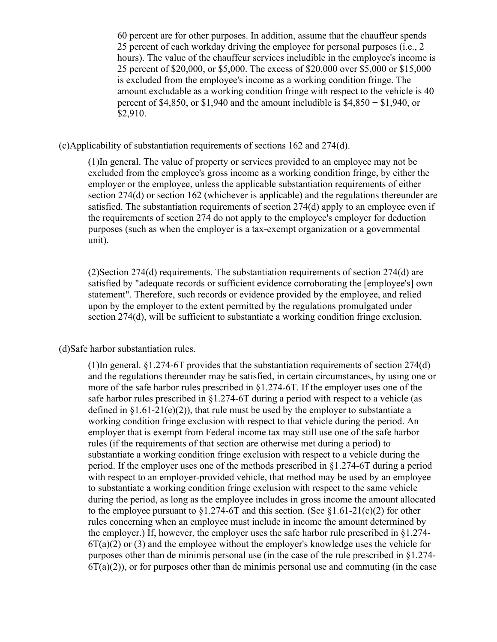60 percent are for other purposes. In addition, assume that the chauffeur spends 25 percent of each workday driving the employee for personal purposes (i.e., 2 hours). The value of the chauffeur services includible in the employee's income is 25 percent of \$20,000, or \$5,000. The excess of \$20,000 over \$5,000 or \$15,000 is excluded from the employee's income as a working condition fringe. The amount excludable as a working condition fringe with respect to the vehicle is 40 percent of \$4,850, or \$1,940 and the amount includible is \$4,850 − \$1,940, or \$2,910.

#### (c)Applicability of substantiation requirements of sections 162 and 274(d).

(1)In general. The value of property or services provided to an employee may not be excluded from the employee's gross income as a working condition fringe, by either the employer or the employee, unless the applicable substantiation requirements of either section 274(d) or section 162 (whichever is applicable) and the regulations thereunder are satisfied. The substantiation requirements of section 274(d) apply to an employee even if the requirements of section 274 do not apply to the employee's employer for deduction purposes (such as when the employer is a tax-exempt organization or a governmental unit).

(2)Section 274(d) requirements. The substantiation requirements of section 274(d) are satisfied by "adequate records or sufficient evidence corroborating the [employee's] own statement". Therefore, such records or evidence provided by the employee, and relied upon by the employer to the extent permitted by the regulations promulgated under section 274(d), will be sufficient to substantiate a working condition fringe exclusion.

#### (d)Safe harbor substantiation rules.

(1)In general. §1.274-6T provides that the substantiation requirements of section 274(d) and the regulations thereunder may be satisfied, in certain circumstances, by using one or more of the safe harbor rules prescribed in §1.274-6T. If the employer uses one of the safe harbor rules prescribed in  $\S1.274-6T$  during a period with respect to a vehicle (as defined in  $\S1.61-21(e)(2)$ , that rule must be used by the employer to substantiate a working condition fringe exclusion with respect to that vehicle during the period. An employer that is exempt from Federal income tax may still use one of the safe harbor rules (if the requirements of that section are otherwise met during a period) to substantiate a working condition fringe exclusion with respect to a vehicle during the period. If the employer uses one of the methods prescribed in §1.274-6T during a period with respect to an employer-provided vehicle, that method may be used by an employee to substantiate a working condition fringe exclusion with respect to the same vehicle during the period, as long as the employee includes in gross income the amount allocated to the employee pursuant to  $\S1.274$ -6T and this section. (See  $\S1.61$ -21(c)(2) for other rules concerning when an employee must include in income the amount determined by the employer.) If, however, the employer uses the safe harbor rule prescribed in  $\S 1.274$ - $6T(a)(2)$  or (3) and the employee without the employer's knowledge uses the vehicle for purposes other than de minimis personal use (in the case of the rule prescribed in §1.274-  $6T(a)(2)$ ), or for purposes other than de minimis personal use and commuting (in the case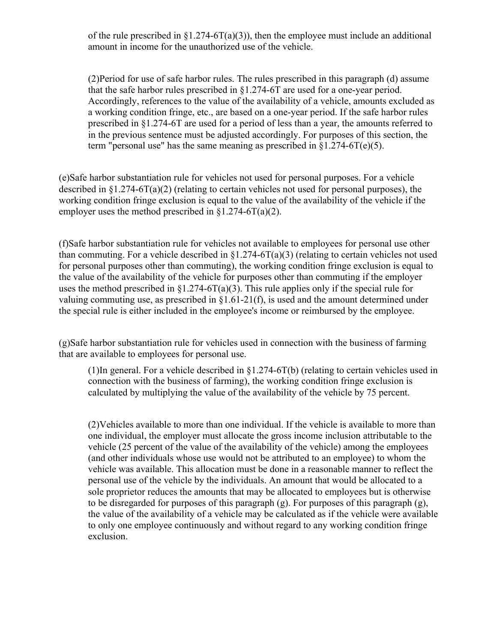of the rule prescribed in  $\S1.274-6T(a)(3)$ , then the employee must include an additional amount in income for the unauthorized use of the vehicle.

(2)Period for use of safe harbor rules. The rules prescribed in this paragraph (d) assume that the safe harbor rules prescribed in §1.274-6T are used for a one-year period. Accordingly, references to the value of the availability of a vehicle, amounts excluded as a working condition fringe, etc., are based on a one-year period. If the safe harbor rules prescribed in §1.274-6T are used for a period of less than a year, the amounts referred to in the previous sentence must be adjusted accordingly. For purposes of this section, the term "personal use" has the same meaning as prescribed in  $$1.274-6T(e)(5)$ .

(e)Safe harbor substantiation rule for vehicles not used for personal purposes. For a vehicle described in  $\S 1.274-6T(a)(2)$  (relating to certain vehicles not used for personal purposes), the working condition fringe exclusion is equal to the value of the availability of the vehicle if the employer uses the method prescribed in  $\S1.274-6T(a)(2)$ .

(f)Safe harbor substantiation rule for vehicles not available to employees for personal use other than commuting. For a vehicle described in  $\S1.274-6T(a)(3)$  (relating to certain vehicles not used for personal purposes other than commuting), the working condition fringe exclusion is equal to the value of the availability of the vehicle for purposes other than commuting if the employer uses the method prescribed in  $\S1.274-6T(a)(3)$ . This rule applies only if the special rule for valuing commuting use, as prescribed in §1.61-21(f), is used and the amount determined under the special rule is either included in the employee's income or reimbursed by the employee.

(g)Safe harbor substantiation rule for vehicles used in connection with the business of farming that are available to employees for personal use.

(1)In general. For a vehicle described in §1.274-6T(b) (relating to certain vehicles used in connection with the business of farming), the working condition fringe exclusion is calculated by multiplying the value of the availability of the vehicle by 75 percent.

(2)Vehicles available to more than one individual. If the vehicle is available to more than one individual, the employer must allocate the gross income inclusion attributable to the vehicle (25 percent of the value of the availability of the vehicle) among the employees (and other individuals whose use would not be attributed to an employee) to whom the vehicle was available. This allocation must be done in a reasonable manner to reflect the personal use of the vehicle by the individuals. An amount that would be allocated to a sole proprietor reduces the amounts that may be allocated to employees but is otherwise to be disregarded for purposes of this paragraph (g). For purposes of this paragraph (g), the value of the availability of a vehicle may be calculated as if the vehicle were available to only one employee continuously and without regard to any working condition fringe exclusion.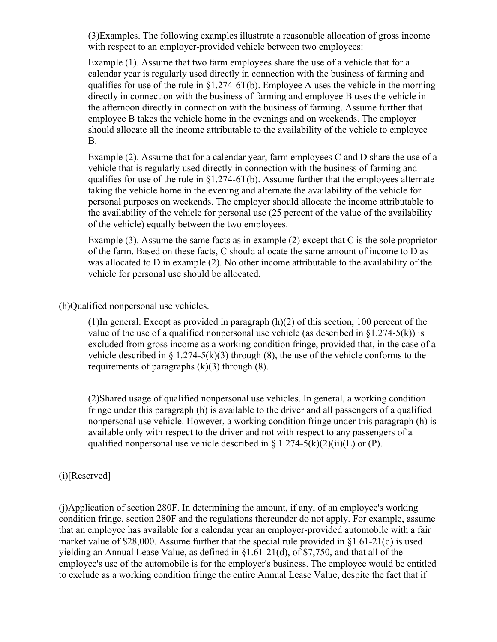(3)Examples. The following examples illustrate a reasonable allocation of gross income with respect to an employer-provided vehicle between two employees:

Example (1). Assume that two farm employees share the use of a vehicle that for a calendar year is regularly used directly in connection with the business of farming and qualifies for use of the rule in §1.274-6T(b). Employee A uses the vehicle in the morning directly in connection with the business of farming and employee B uses the vehicle in the afternoon directly in connection with the business of farming. Assume further that employee B takes the vehicle home in the evenings and on weekends. The employer should allocate all the income attributable to the availability of the vehicle to employee B.

Example (2). Assume that for a calendar year, farm employees C and D share the use of a vehicle that is regularly used directly in connection with the business of farming and qualifies for use of the rule in §1.274-6T(b). Assume further that the employees alternate taking the vehicle home in the evening and alternate the availability of the vehicle for personal purposes on weekends. The employer should allocate the income attributable to the availability of the vehicle for personal use (25 percent of the value of the availability of the vehicle) equally between the two employees.

Example (3). Assume the same facts as in example (2) except that C is the sole proprietor of the farm. Based on these facts, C should allocate the same amount of income to D as was allocated to D in example (2). No other income attributable to the availability of the vehicle for personal use should be allocated.

(h)Qualified nonpersonal use vehicles.

(1)In general. Except as provided in paragraph (h)(2) of this section, 100 percent of the value of the use of a qualified nonpersonal use vehicle (as described in  $\S1.274-5(k)$ ) is excluded from gross income as a working condition fringe, provided that, in the case of a vehicle described in  $\S$  1.274-5(k)(3) through (8), the use of the vehicle conforms to the requirements of paragraphs  $(k)(3)$  through  $(8)$ .

(2)Shared usage of qualified nonpersonal use vehicles. In general, a working condition fringe under this paragraph (h) is available to the driver and all passengers of a qualified nonpersonal use vehicle. However, a working condition fringe under this paragraph (h) is available only with respect to the driver and not with respect to any passengers of a qualified nonpersonal use vehicle described in  $\S 1.274-5(k)(2)(ii)(L)$  or (P).

# (i)[Reserved]

(j)Application of section 280F. In determining the amount, if any, of an employee's working condition fringe, section 280F and the regulations thereunder do not apply. For example, assume that an employee has available for a calendar year an employer-provided automobile with a fair market value of \$28,000. Assume further that the special rule provided in §1.61-21(d) is used yielding an Annual Lease Value, as defined in §1.61-21(d), of \$7,750, and that all of the employee's use of the automobile is for the employer's business. The employee would be entitled to exclude as a working condition fringe the entire Annual Lease Value, despite the fact that if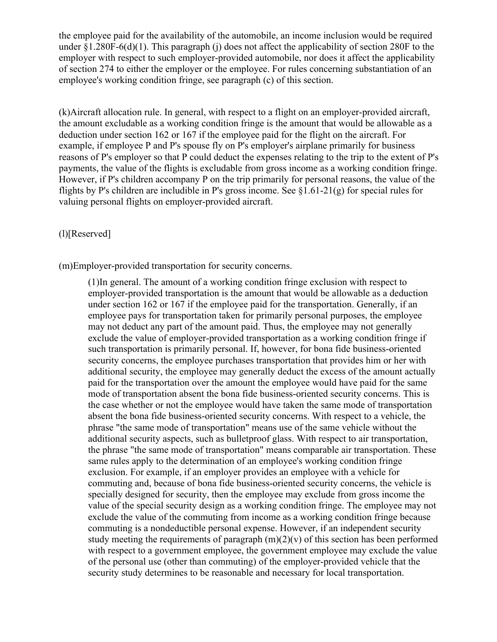the employee paid for the availability of the automobile, an income inclusion would be required under  $\S1.280F-6(d)(1)$ . This paragraph (j) does not affect the applicability of section 280F to the employer with respect to such employer-provided automobile, nor does it affect the applicability of section 274 to either the employer or the employee. For rules concerning substantiation of an employee's working condition fringe, see paragraph (c) of this section.

(k)Aircraft allocation rule. In general, with respect to a flight on an employer-provided aircraft, the amount excludable as a working condition fringe is the amount that would be allowable as a deduction under section 162 or 167 if the employee paid for the flight on the aircraft. For example, if employee P and P's spouse fly on P's employer's airplane primarily for business reasons of P's employer so that P could deduct the expenses relating to the trip to the extent of P's payments, the value of the flights is excludable from gross income as a working condition fringe. However, if P's children accompany P on the trip primarily for personal reasons, the value of the flights by P's children are includible in P's gross income. See  $\S1.61-21(g)$  for special rules for valuing personal flights on employer-provided aircraft.

# (l)[Reserved]

(m)Employer-provided transportation for security concerns.

(1)In general. The amount of a working condition fringe exclusion with respect to employer-provided transportation is the amount that would be allowable as a deduction under section 162 or 167 if the employee paid for the transportation. Generally, if an employee pays for transportation taken for primarily personal purposes, the employee may not deduct any part of the amount paid. Thus, the employee may not generally exclude the value of employer-provided transportation as a working condition fringe if such transportation is primarily personal. If, however, for bona fide business-oriented security concerns, the employee purchases transportation that provides him or her with additional security, the employee may generally deduct the excess of the amount actually paid for the transportation over the amount the employee would have paid for the same mode of transportation absent the bona fide business-oriented security concerns. This is the case whether or not the employee would have taken the same mode of transportation absent the bona fide business-oriented security concerns. With respect to a vehicle, the phrase "the same mode of transportation" means use of the same vehicle without the additional security aspects, such as bulletproof glass. With respect to air transportation, the phrase "the same mode of transportation" means comparable air transportation. These same rules apply to the determination of an employee's working condition fringe exclusion. For example, if an employer provides an employee with a vehicle for commuting and, because of bona fide business-oriented security concerns, the vehicle is specially designed for security, then the employee may exclude from gross income the value of the special security design as a working condition fringe. The employee may not exclude the value of the commuting from income as a working condition fringe because commuting is a nondeductible personal expense. However, if an independent security study meeting the requirements of paragraph  $(m)(2)(v)$  of this section has been performed with respect to a government employee, the government employee may exclude the value of the personal use (other than commuting) of the employer-provided vehicle that the security study determines to be reasonable and necessary for local transportation.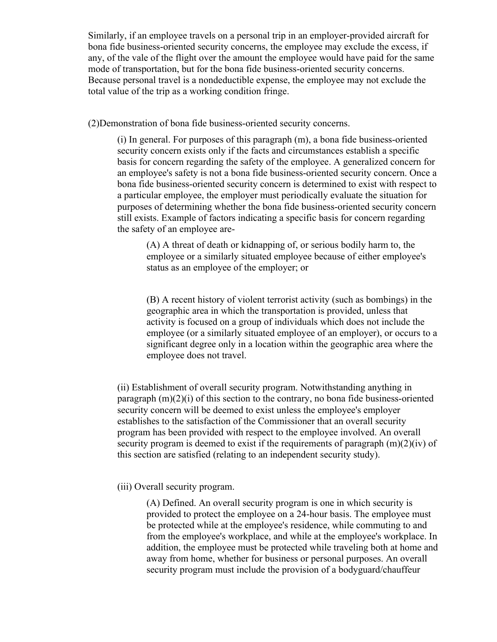Similarly, if an employee travels on a personal trip in an employer-provided aircraft for bona fide business-oriented security concerns, the employee may exclude the excess, if any, of the vale of the flight over the amount the employee would have paid for the same mode of transportation, but for the bona fide business-oriented security concerns. Because personal travel is a nondeductible expense, the employee may not exclude the total value of the trip as a working condition fringe.

(2)Demonstration of bona fide business-oriented security concerns.

(i) In general. For purposes of this paragraph (m), a bona fide business-oriented security concern exists only if the facts and circumstances establish a specific basis for concern regarding the safety of the employee. A generalized concern for an employee's safety is not a bona fide business-oriented security concern. Once a bona fide business-oriented security concern is determined to exist with respect to a particular employee, the employer must periodically evaluate the situation for purposes of determining whether the bona fide business-oriented security concern still exists. Example of factors indicating a specific basis for concern regarding the safety of an employee are-

(A) A threat of death or kidnapping of, or serious bodily harm to, the employee or a similarly situated employee because of either employee's status as an employee of the employer; or

(B) A recent history of violent terrorist activity (such as bombings) in the geographic area in which the transportation is provided, unless that activity is focused on a group of individuals which does not include the employee (or a similarly situated employee of an employer), or occurs to a significant degree only in a location within the geographic area where the employee does not travel.

(ii) Establishment of overall security program. Notwithstanding anything in paragraph  $(m)(2)(i)$  of this section to the contrary, no bona fide business-oriented security concern will be deemed to exist unless the employee's employer establishes to the satisfaction of the Commissioner that an overall security program has been provided with respect to the employee involved. An overall security program is deemed to exist if the requirements of paragraph  $(m)(2)(iv)$  of this section are satisfied (relating to an independent security study).

# (iii) Overall security program.

(A) Defined. An overall security program is one in which security is provided to protect the employee on a 24-hour basis. The employee must be protected while at the employee's residence, while commuting to and from the employee's workplace, and while at the employee's workplace. In addition, the employee must be protected while traveling both at home and away from home, whether for business or personal purposes. An overall security program must include the provision of a bodyguard/chauffeur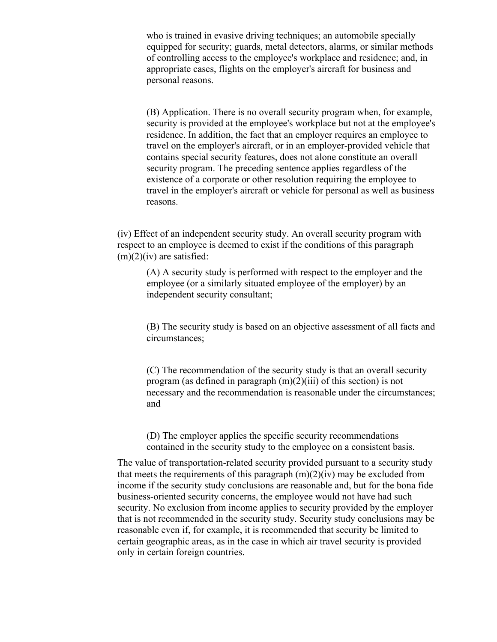who is trained in evasive driving techniques; an automobile specially equipped for security; guards, metal detectors, alarms, or similar methods of controlling access to the employee's workplace and residence; and, in appropriate cases, flights on the employer's aircraft for business and personal reasons.

(B) Application. There is no overall security program when, for example, security is provided at the employee's workplace but not at the employee's residence. In addition, the fact that an employer requires an employee to travel on the employer's aircraft, or in an employer-provided vehicle that contains special security features, does not alone constitute an overall security program. The preceding sentence applies regardless of the existence of a corporate or other resolution requiring the employee to travel in the employer's aircraft or vehicle for personal as well as business reasons.

(iv) Effect of an independent security study. An overall security program with respect to an employee is deemed to exist if the conditions of this paragraph  $(m)(2)(iv)$  are satisfied:

(A) A security study is performed with respect to the employer and the employee (or a similarly situated employee of the employer) by an independent security consultant;

(B) The security study is based on an objective assessment of all facts and circumstances;

(C) The recommendation of the security study is that an overall security program (as defined in paragraph  $(m)(2)(iii)$  of this section) is not necessary and the recommendation is reasonable under the circumstances; and

(D) The employer applies the specific security recommendations contained in the security study to the employee on a consistent basis.

The value of transportation-related security provided pursuant to a security study that meets the requirements of this paragraph  $(m)(2)(iv)$  may be excluded from income if the security study conclusions are reasonable and, but for the bona fide business-oriented security concerns, the employee would not have had such security. No exclusion from income applies to security provided by the employer that is not recommended in the security study. Security study conclusions may be reasonable even if, for example, it is recommended that security be limited to certain geographic areas, as in the case in which air travel security is provided only in certain foreign countries.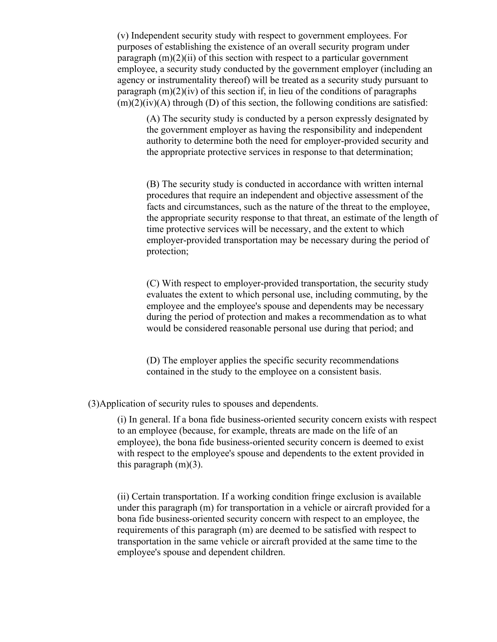(v) Independent security study with respect to government employees. For purposes of establishing the existence of an overall security program under paragraph  $(m)(2)(ii)$  of this section with respect to a particular government employee, a security study conducted by the government employer (including an agency or instrumentality thereof) will be treated as a security study pursuant to paragraph  $(m)(2)(iv)$  of this section if, in lieu of the conditions of paragraphs  $(m)(2)(iv)(A)$  through (D) of this section, the following conditions are satisfied:

(A) The security study is conducted by a person expressly designated by the government employer as having the responsibility and independent authority to determine both the need for employer-provided security and the appropriate protective services in response to that determination;

(B) The security study is conducted in accordance with written internal procedures that require an independent and objective assessment of the facts and circumstances, such as the nature of the threat to the employee, the appropriate security response to that threat, an estimate of the length of time protective services will be necessary, and the extent to which employer-provided transportation may be necessary during the period of protection;

(C) With respect to employer-provided transportation, the security study evaluates the extent to which personal use, including commuting, by the employee and the employee's spouse and dependents may be necessary during the period of protection and makes a recommendation as to what would be considered reasonable personal use during that period; and

(D) The employer applies the specific security recommendations contained in the study to the employee on a consistent basis.

(3)Application of security rules to spouses and dependents.

(i) In general. If a bona fide business-oriented security concern exists with respect to an employee (because, for example, threats are made on the life of an employee), the bona fide business-oriented security concern is deemed to exist with respect to the employee's spouse and dependents to the extent provided in this paragraph  $(m)(3)$ .

(ii) Certain transportation. If a working condition fringe exclusion is available under this paragraph (m) for transportation in a vehicle or aircraft provided for a bona fide business-oriented security concern with respect to an employee, the requirements of this paragraph (m) are deemed to be satisfied with respect to transportation in the same vehicle or aircraft provided at the same time to the employee's spouse and dependent children.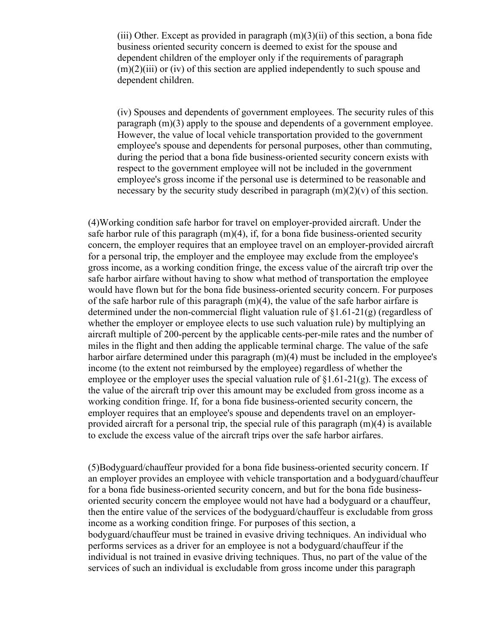(iii) Other. Except as provided in paragraph  $(m)(3)(ii)$  of this section, a bona fide business oriented security concern is deemed to exist for the spouse and dependent children of the employer only if the requirements of paragraph  $(m)(2)(iii)$  or (iv) of this section are applied independently to such spouse and dependent children.

(iv) Spouses and dependents of government employees. The security rules of this paragraph (m)(3) apply to the spouse and dependents of a government employee. However, the value of local vehicle transportation provided to the government employee's spouse and dependents for personal purposes, other than commuting, during the period that a bona fide business-oriented security concern exists with respect to the government employee will not be included in the government employee's gross income if the personal use is determined to be reasonable and necessary by the security study described in paragraph  $(m)(2)(v)$  of this section.

(4)Working condition safe harbor for travel on employer-provided aircraft. Under the safe harbor rule of this paragraph  $(m)(4)$ , if, for a bona fide business-oriented security concern, the employer requires that an employee travel on an employer-provided aircraft for a personal trip, the employer and the employee may exclude from the employee's gross income, as a working condition fringe, the excess value of the aircraft trip over the safe harbor airfare without having to show what method of transportation the employee would have flown but for the bona fide business-oriented security concern. For purposes of the safe harbor rule of this paragraph  $(m)(4)$ , the value of the safe harbor airfare is determined under the non-commercial flight valuation rule of §1.61-21(g) (regardless of whether the employer or employee elects to use such valuation rule) by multiplying an aircraft multiple of 200-percent by the applicable cents-per-mile rates and the number of miles in the flight and then adding the applicable terminal charge. The value of the safe harbor airfare determined under this paragraph  $(m)(4)$  must be included in the employee's income (to the extent not reimbursed by the employee) regardless of whether the employee or the employer uses the special valuation rule of  $\S1.61-21(g)$ . The excess of the value of the aircraft trip over this amount may be excluded from gross income as a working condition fringe. If, for a bona fide business-oriented security concern, the employer requires that an employee's spouse and dependents travel on an employerprovided aircraft for a personal trip, the special rule of this paragraph (m)(4) is available to exclude the excess value of the aircraft trips over the safe harbor airfares.

(5)Bodyguard/chauffeur provided for a bona fide business-oriented security concern. If an employer provides an employee with vehicle transportation and a bodyguard/chauffeur for a bona fide business-oriented security concern, and but for the bona fide businessoriented security concern the employee would not have had a bodyguard or a chauffeur, then the entire value of the services of the bodyguard/chauffeur is excludable from gross income as a working condition fringe. For purposes of this section, a bodyguard/chauffeur must be trained in evasive driving techniques. An individual who performs services as a driver for an employee is not a bodyguard/chauffeur if the individual is not trained in evasive driving techniques. Thus, no part of the value of the services of such an individual is excludable from gross income under this paragraph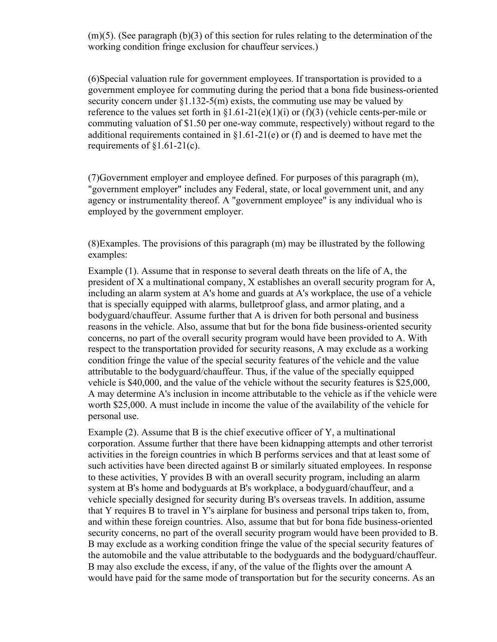$(m)(5)$ . (See paragraph  $(b)(3)$  of this section for rules relating to the determination of the working condition fringe exclusion for chauffeur services.)

(6)Special valuation rule for government employees. If transportation is provided to a government employee for commuting during the period that a bona fide business-oriented security concern under  $\S1.132-5(m)$  exists, the commuting use may be valued by reference to the values set forth in  $\S1.61-21(e)(1)(i)$  or  $(f)(3)$  (vehicle cents-per-mile or commuting valuation of \$1.50 per one-way commute, respectively) without regard to the additional requirements contained in §1.61-21(e) or (f) and is deemed to have met the requirements of  $\S1.61-21(c)$ .

(7)Government employer and employee defined. For purposes of this paragraph (m), "government employer" includes any Federal, state, or local government unit, and any agency or instrumentality thereof. A "government employee" is any individual who is employed by the government employer.

(8)Examples. The provisions of this paragraph (m) may be illustrated by the following examples:

Example (1). Assume that in response to several death threats on the life of A, the president of X a multinational company, X establishes an overall security program for A, including an alarm system at A's home and guards at A's workplace, the use of a vehicle that is specially equipped with alarms, bulletproof glass, and armor plating, and a bodyguard/chauffeur. Assume further that A is driven for both personal and business reasons in the vehicle. Also, assume that but for the bona fide business-oriented security concerns, no part of the overall security program would have been provided to A. With respect to the transportation provided for security reasons, A may exclude as a working condition fringe the value of the special security features of the vehicle and the value attributable to the bodyguard/chauffeur. Thus, if the value of the specially equipped vehicle is \$40,000, and the value of the vehicle without the security features is \$25,000, A may determine A's inclusion in income attributable to the vehicle as if the vehicle were worth \$25,000. A must include in income the value of the availability of the vehicle for personal use.

Example (2). Assume that B is the chief executive officer of Y, a multinational corporation. Assume further that there have been kidnapping attempts and other terrorist activities in the foreign countries in which B performs services and that at least some of such activities have been directed against B or similarly situated employees. In response to these activities, Y provides B with an overall security program, including an alarm system at B's home and bodyguards at B's workplace, a bodyguard/chauffeur, and a vehicle specially designed for security during B's overseas travels. In addition, assume that Y requires B to travel in Y's airplane for business and personal trips taken to, from, and within these foreign countries. Also, assume that but for bona fide business-oriented security concerns, no part of the overall security program would have been provided to B. B may exclude as a working condition fringe the value of the special security features of the automobile and the value attributable to the bodyguards and the bodyguard/chauffeur. B may also exclude the excess, if any, of the value of the flights over the amount A would have paid for the same mode of transportation but for the security concerns. As an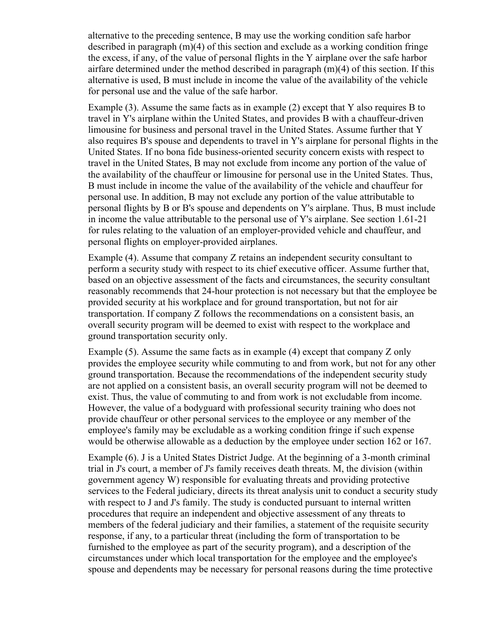alternative to the preceding sentence, B may use the working condition safe harbor described in paragraph (m)(4) of this section and exclude as a working condition fringe the excess, if any, of the value of personal flights in the Y airplane over the safe harbor airfare determined under the method described in paragraph  $(m)(4)$  of this section. If this alternative is used, B must include in income the value of the availability of the vehicle for personal use and the value of the safe harbor.

Example (3). Assume the same facts as in example (2) except that Y also requires B to travel in Y's airplane within the United States, and provides B with a chauffeur-driven limousine for business and personal travel in the United States. Assume further that Y also requires B's spouse and dependents to travel in Y's airplane for personal flights in the United States. If no bona fide business-oriented security concern exists with respect to travel in the United States, B may not exclude from income any portion of the value of the availability of the chauffeur or limousine for personal use in the United States. Thus, B must include in income the value of the availability of the vehicle and chauffeur for personal use. In addition, B may not exclude any portion of the value attributable to personal flights by B or B's spouse and dependents on Y's airplane. Thus, B must include in income the value attributable to the personal use of Y's airplane. See section 1.61-21 for rules relating to the valuation of an employer-provided vehicle and chauffeur, and personal flights on employer-provided airplanes.

Example (4). Assume that company Z retains an independent security consultant to perform a security study with respect to its chief executive officer. Assume further that, based on an objective assessment of the facts and circumstances, the security consultant reasonably recommends that 24-hour protection is not necessary but that the employee be provided security at his workplace and for ground transportation, but not for air transportation. If company Z follows the recommendations on a consistent basis, an overall security program will be deemed to exist with respect to the workplace and ground transportation security only.

Example (5). Assume the same facts as in example (4) except that company Z only provides the employee security while commuting to and from work, but not for any other ground transportation. Because the recommendations of the independent security study are not applied on a consistent basis, an overall security program will not be deemed to exist. Thus, the value of commuting to and from work is not excludable from income. However, the value of a bodyguard with professional security training who does not provide chauffeur or other personal services to the employee or any member of the employee's family may be excludable as a working condition fringe if such expense would be otherwise allowable as a deduction by the employee under section 162 or 167.

Example (6). J is a United States District Judge. At the beginning of a 3-month criminal trial in J's court, a member of J's family receives death threats. M, the division (within government agency W) responsible for evaluating threats and providing protective services to the Federal judiciary, directs its threat analysis unit to conduct a security study with respect to J and J's family. The study is conducted pursuant to internal written procedures that require an independent and objective assessment of any threats to members of the federal judiciary and their families, a statement of the requisite security response, if any, to a particular threat (including the form of transportation to be furnished to the employee as part of the security program), and a description of the circumstances under which local transportation for the employee and the employee's spouse and dependents may be necessary for personal reasons during the time protective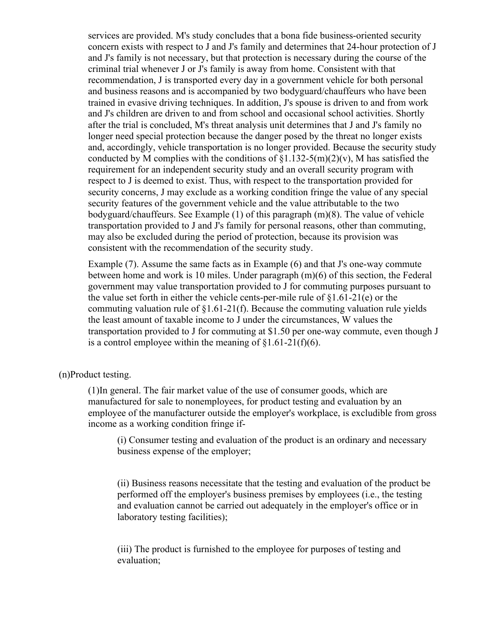services are provided. M's study concludes that a bona fide business-oriented security concern exists with respect to J and J's family and determines that 24-hour protection of J and J's family is not necessary, but that protection is necessary during the course of the criminal trial whenever J or J's family is away from home. Consistent with that recommendation, J is transported every day in a government vehicle for both personal and business reasons and is accompanied by two bodyguard/chauffeurs who have been trained in evasive driving techniques. In addition, J's spouse is driven to and from work and J's children are driven to and from school and occasional school activities. Shortly after the trial is concluded, M's threat analysis unit determines that J and J's family no longer need special protection because the danger posed by the threat no longer exists and, accordingly, vehicle transportation is no longer provided. Because the security study conducted by M complies with the conditions of  $\S1.132-5(m)(2)(v)$ , M has satisfied the requirement for an independent security study and an overall security program with respect to J is deemed to exist. Thus, with respect to the transportation provided for security concerns, J may exclude as a working condition fringe the value of any special security features of the government vehicle and the value attributable to the two bodyguard/chauffeurs. See Example (1) of this paragraph (m)(8). The value of vehicle transportation provided to J and J's family for personal reasons, other than commuting, may also be excluded during the period of protection, because its provision was consistent with the recommendation of the security study.

Example (7). Assume the same facts as in Example (6) and that J's one-way commute between home and work is 10 miles. Under paragraph (m)(6) of this section, the Federal government may value transportation provided to J for commuting purposes pursuant to the value set forth in either the vehicle cents-per-mile rule of §1.61-21(e) or the commuting valuation rule of §1.61-21(f). Because the commuting valuation rule yields the least amount of taxable income to J under the circumstances, W values the transportation provided to J for commuting at \$1.50 per one-way commute, even though J is a control employee within the meaning of  $\S1.61-21(f)(6)$ .

## (n)Product testing.

(1)In general. The fair market value of the use of consumer goods, which are manufactured for sale to nonemployees, for product testing and evaluation by an employee of the manufacturer outside the employer's workplace, is excludible from gross income as a working condition fringe if-

(i) Consumer testing and evaluation of the product is an ordinary and necessary business expense of the employer;

(ii) Business reasons necessitate that the testing and evaluation of the product be performed off the employer's business premises by employees (i.e., the testing and evaluation cannot be carried out adequately in the employer's office or in laboratory testing facilities);

(iii) The product is furnished to the employee for purposes of testing and evaluation;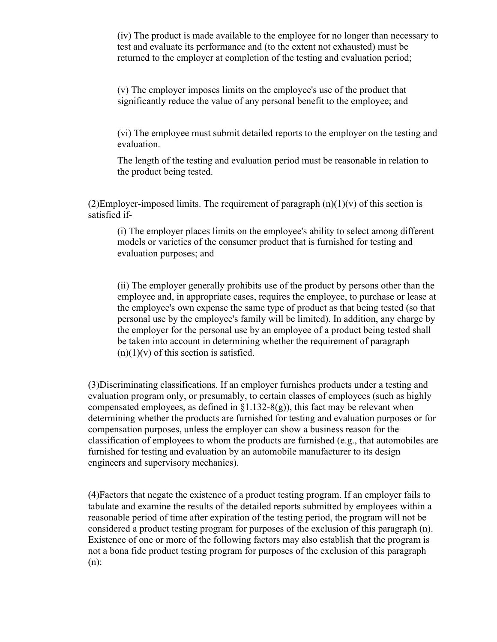(iv) The product is made available to the employee for no longer than necessary to test and evaluate its performance and (to the extent not exhausted) must be returned to the employer at completion of the testing and evaluation period;

(v) The employer imposes limits on the employee's use of the product that significantly reduce the value of any personal benefit to the employee; and

(vi) The employee must submit detailed reports to the employer on the testing and evaluation.

The length of the testing and evaluation period must be reasonable in relation to the product being tested.

(2)Employer-imposed limits. The requirement of paragraph  $(n)(1)(v)$  of this section is satisfied if-

(i) The employer places limits on the employee's ability to select among different models or varieties of the consumer product that is furnished for testing and evaluation purposes; and

(ii) The employer generally prohibits use of the product by persons other than the employee and, in appropriate cases, requires the employee, to purchase or lease at the employee's own expense the same type of product as that being tested (so that personal use by the employee's family will be limited). In addition, any charge by the employer for the personal use by an employee of a product being tested shall be taken into account in determining whether the requirement of paragraph  $(n)(1)(v)$  of this section is satisfied.

(3)Discriminating classifications. If an employer furnishes products under a testing and evaluation program only, or presumably, to certain classes of employees (such as highly compensated employees, as defined in  $\S1.132-S(g)$ , this fact may be relevant when determining whether the products are furnished for testing and evaluation purposes or for compensation purposes, unless the employer can show a business reason for the classification of employees to whom the products are furnished (e.g., that automobiles are furnished for testing and evaluation by an automobile manufacturer to its design engineers and supervisory mechanics).

(4)Factors that negate the existence of a product testing program. If an employer fails to tabulate and examine the results of the detailed reports submitted by employees within a reasonable period of time after expiration of the testing period, the program will not be considered a product testing program for purposes of the exclusion of this paragraph (n). Existence of one or more of the following factors may also establish that the program is not a bona fide product testing program for purposes of the exclusion of this paragraph (n):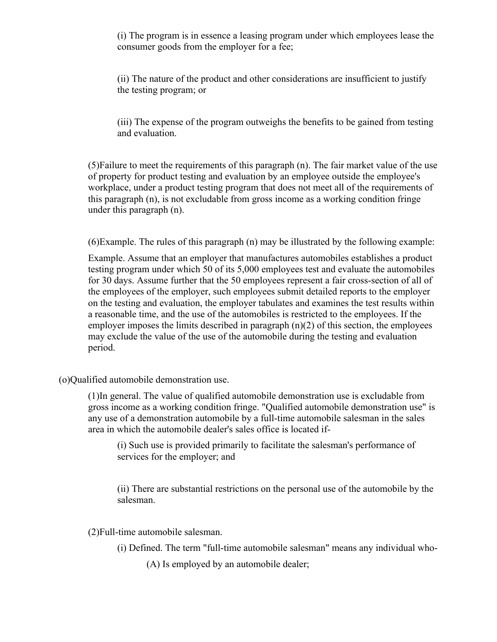(i) The program is in essence a leasing program under which employees lease the consumer goods from the employer for a fee;

(ii) The nature of the product and other considerations are insufficient to justify the testing program; or

(iii) The expense of the program outweighs the benefits to be gained from testing and evaluation.

(5)Failure to meet the requirements of this paragraph (n). The fair market value of the use of property for product testing and evaluation by an employee outside the employee's workplace, under a product testing program that does not meet all of the requirements of this paragraph (n), is not excludable from gross income as a working condition fringe under this paragraph (n).

(6)Example. The rules of this paragraph (n) may be illustrated by the following example:

Example. Assume that an employer that manufactures automobiles establishes a product testing program under which 50 of its 5,000 employees test and evaluate the automobiles for 30 days. Assume further that the 50 employees represent a fair cross-section of all of the employees of the employer, such employees submit detailed reports to the employer on the testing and evaluation, the employer tabulates and examines the test results within a reasonable time, and the use of the automobiles is restricted to the employees. If the employer imposes the limits described in paragraph (n)(2) of this section, the employees may exclude the value of the use of the automobile during the testing and evaluation period.

(o)Qualified automobile demonstration use.

(1)In general. The value of qualified automobile demonstration use is excludable from gross income as a working condition fringe. "Qualified automobile demonstration use" is any use of a demonstration automobile by a full-time automobile salesman in the sales area in which the automobile dealer's sales office is located if-

(i) Such use is provided primarily to facilitate the salesman's performance of services for the employer; and

(ii) There are substantial restrictions on the personal use of the automobile by the salesman.

(2)Full-time automobile salesman.

- (i) Defined. The term "full-time automobile salesman" means any individual who-
	- (A) Is employed by an automobile dealer;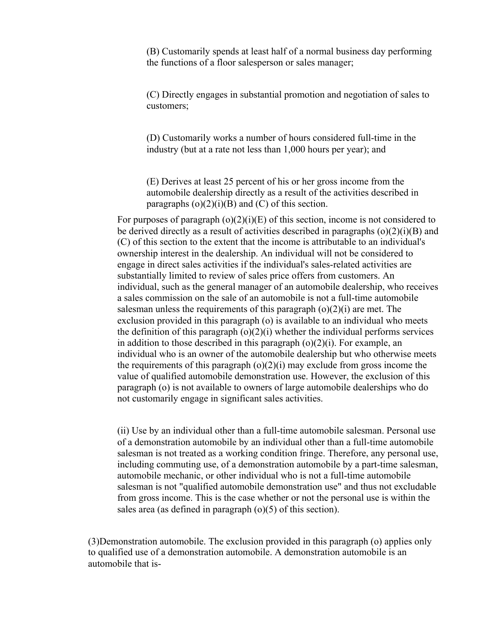(B) Customarily spends at least half of a normal business day performing the functions of a floor salesperson or sales manager;

(C) Directly engages in substantial promotion and negotiation of sales to customers;

(D) Customarily works a number of hours considered full-time in the industry (but at a rate not less than 1,000 hours per year); and

(E) Derives at least 25 percent of his or her gross income from the automobile dealership directly as a result of the activities described in paragraphs  $(o)(2)(i)(B)$  and  $(C)$  of this section.

For purposes of paragraph  $(o)(2)(i)(E)$  of this section, income is not considered to be derived directly as a result of activities described in paragraphs  $(o)(2)(i)(B)$  and (C) of this section to the extent that the income is attributable to an individual's ownership interest in the dealership. An individual will not be considered to engage in direct sales activities if the individual's sales-related activities are substantially limited to review of sales price offers from customers. An individual, such as the general manager of an automobile dealership, who receives a sales commission on the sale of an automobile is not a full-time automobile salesman unless the requirements of this paragraph  $(o)(2)(i)$  are met. The exclusion provided in this paragraph (o) is available to an individual who meets the definition of this paragraph  $(o)(2)(i)$  whether the individual performs services in addition to those described in this paragraph  $(o)(2)(i)$ . For example, an individual who is an owner of the automobile dealership but who otherwise meets the requirements of this paragraph  $(o)(2)(i)$  may exclude from gross income the value of qualified automobile demonstration use. However, the exclusion of this paragraph (o) is not available to owners of large automobile dealerships who do not customarily engage in significant sales activities.

(ii) Use by an individual other than a full-time automobile salesman. Personal use of a demonstration automobile by an individual other than a full-time automobile salesman is not treated as a working condition fringe. Therefore, any personal use, including commuting use, of a demonstration automobile by a part-time salesman, automobile mechanic, or other individual who is not a full-time automobile salesman is not "qualified automobile demonstration use" and thus not excludable from gross income. This is the case whether or not the personal use is within the sales area (as defined in paragraph (o)(5) of this section).

(3)Demonstration automobile. The exclusion provided in this paragraph (o) applies only to qualified use of a demonstration automobile. A demonstration automobile is an automobile that is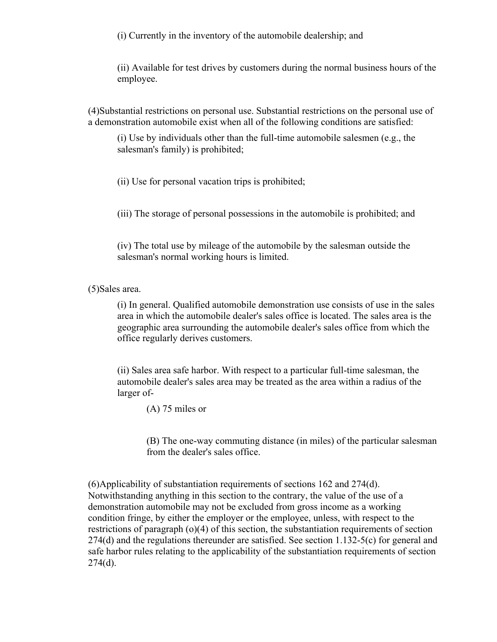(i) Currently in the inventory of the automobile dealership; and

(ii) Available for test drives by customers during the normal business hours of the employee.

(4)Substantial restrictions on personal use. Substantial restrictions on the personal use of a demonstration automobile exist when all of the following conditions are satisfied:

(i) Use by individuals other than the full-time automobile salesmen (e.g., the salesman's family) is prohibited;

(ii) Use for personal vacation trips is prohibited;

(iii) The storage of personal possessions in the automobile is prohibited; and

(iv) The total use by mileage of the automobile by the salesman outside the salesman's normal working hours is limited.

(5)Sales area.

(i) In general. Qualified automobile demonstration use consists of use in the sales area in which the automobile dealer's sales office is located. The sales area is the geographic area surrounding the automobile dealer's sales office from which the office regularly derives customers.

(ii) Sales area safe harbor. With respect to a particular full-time salesman, the automobile dealer's sales area may be treated as the area within a radius of the larger of-

(A) 75 miles or

(B) The one-way commuting distance (in miles) of the particular salesman from the dealer's sales office.

(6)Applicability of substantiation requirements of sections 162 and 274(d). Notwithstanding anything in this section to the contrary, the value of the use of a demonstration automobile may not be excluded from gross income as a working condition fringe, by either the employer or the employee, unless, with respect to the restrictions of paragraph (o)(4) of this section, the substantiation requirements of section 274(d) and the regulations thereunder are satisfied. See section 1.132-5(c) for general and safe harbor rules relating to the applicability of the substantiation requirements of section  $274(d)$ .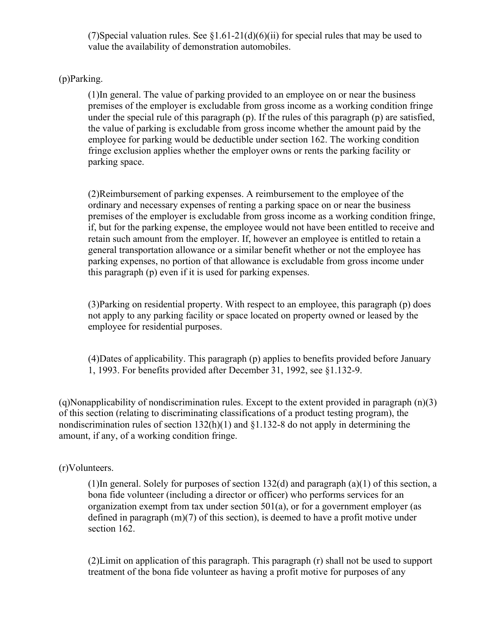(7)Special valuation rules. See  $\S1.61-21(d)(6)(ii)$  for special rules that may be used to value the availability of demonstration automobiles.

# (p)Parking.

(1)In general. The value of parking provided to an employee on or near the business premises of the employer is excludable from gross income as a working condition fringe under the special rule of this paragraph (p). If the rules of this paragraph (p) are satisfied, the value of parking is excludable from gross income whether the amount paid by the employee for parking would be deductible under section 162. The working condition fringe exclusion applies whether the employer owns or rents the parking facility or parking space.

(2)Reimbursement of parking expenses. A reimbursement to the employee of the ordinary and necessary expenses of renting a parking space on or near the business premises of the employer is excludable from gross income as a working condition fringe, if, but for the parking expense, the employee would not have been entitled to receive and retain such amount from the employer. If, however an employee is entitled to retain a general transportation allowance or a similar benefit whether or not the employee has parking expenses, no portion of that allowance is excludable from gross income under this paragraph (p) even if it is used for parking expenses.

(3)Parking on residential property. With respect to an employee, this paragraph (p) does not apply to any parking facility or space located on property owned or leased by the employee for residential purposes.

(4)Dates of applicability. This paragraph (p) applies to benefits provided before January 1, 1993. For benefits provided after December 31, 1992, see §1.132-9.

(q)Nonapplicability of nondiscrimination rules. Except to the extent provided in paragraph (n)(3) of this section (relating to discriminating classifications of a product testing program), the nondiscrimination rules of section 132(h)(1) and §1.132-8 do not apply in determining the amount, if any, of a working condition fringe.

# (r)Volunteers.

(1)In general. Solely for purposes of section 132(d) and paragraph (a)(1) of this section, a bona fide volunteer (including a director or officer) who performs services for an organization exempt from tax under section 501(a), or for a government employer (as defined in paragraph (m)(7) of this section), is deemed to have a profit motive under section 162.

(2)Limit on application of this paragraph. This paragraph (r) shall not be used to support treatment of the bona fide volunteer as having a profit motive for purposes of any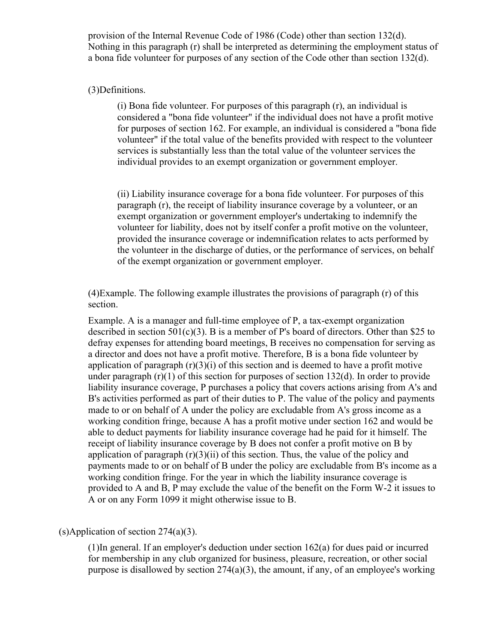provision of the Internal Revenue Code of 1986 (Code) other than section 132(d). Nothing in this paragraph (r) shall be interpreted as determining the employment status of a bona fide volunteer for purposes of any section of the Code other than section 132(d).

#### (3)Definitions.

(i) Bona fide volunteer. For purposes of this paragraph (r), an individual is considered a "bona fide volunteer" if the individual does not have a profit motive for purposes of section 162. For example, an individual is considered a "bona fide volunteer" if the total value of the benefits provided with respect to the volunteer services is substantially less than the total value of the volunteer services the individual provides to an exempt organization or government employer.

(ii) Liability insurance coverage for a bona fide volunteer. For purposes of this paragraph (r), the receipt of liability insurance coverage by a volunteer, or an exempt organization or government employer's undertaking to indemnify the volunteer for liability, does not by itself confer a profit motive on the volunteer, provided the insurance coverage or indemnification relates to acts performed by the volunteer in the discharge of duties, or the performance of services, on behalf of the exempt organization or government employer.

(4)Example. The following example illustrates the provisions of paragraph (r) of this section.

Example. A is a manager and full-time employee of P, a tax-exempt organization described in section  $501(c)(3)$ . B is a member of P's board of directors. Other than \$25 to defray expenses for attending board meetings, B receives no compensation for serving as a director and does not have a profit motive. Therefore, B is a bona fide volunteer by application of paragraph  $(r)(3)(i)$  of this section and is deemed to have a profit motive under paragraph  $(r)(1)$  of this section for purposes of section 132(d). In order to provide liability insurance coverage, P purchases a policy that covers actions arising from A's and B's activities performed as part of their duties to P. The value of the policy and payments made to or on behalf of A under the policy are excludable from A's gross income as a working condition fringe, because A has a profit motive under section 162 and would be able to deduct payments for liability insurance coverage had he paid for it himself. The receipt of liability insurance coverage by B does not confer a profit motive on B by application of paragraph  $(r)(3)(ii)$  of this section. Thus, the value of the policy and payments made to or on behalf of B under the policy are excludable from B's income as a working condition fringe. For the year in which the liability insurance coverage is provided to A and B, P may exclude the value of the benefit on the Form W-2 it issues to A or on any Form 1099 it might otherwise issue to B.

# (s)Application of section 274(a)(3).

(1)In general. If an employer's deduction under section 162(a) for dues paid or incurred for membership in any club organized for business, pleasure, recreation, or other social purpose is disallowed by section  $274(a)(3)$ , the amount, if any, of an employee's working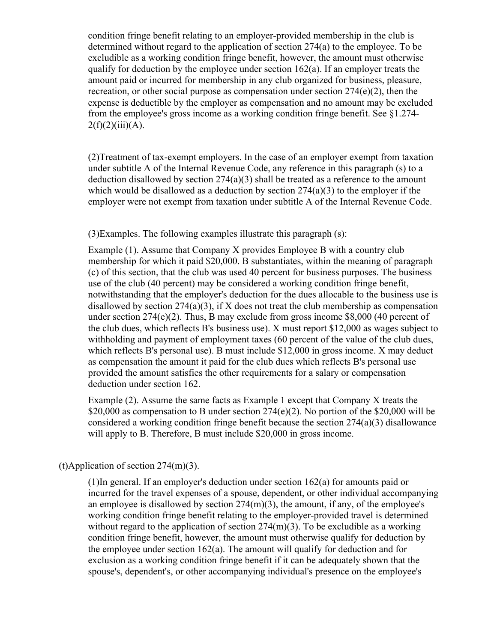condition fringe benefit relating to an employer-provided membership in the club is determined without regard to the application of section 274(a) to the employee. To be excludible as a working condition fringe benefit, however, the amount must otherwise qualify for deduction by the employee under section  $162(a)$ . If an employer treats the amount paid or incurred for membership in any club organized for business, pleasure, recreation, or other social purpose as compensation under section  $274(e)(2)$ , then the expense is deductible by the employer as compensation and no amount may be excluded from the employee's gross income as a working condition fringe benefit. See §1.274-  $2(f)(2)(iii)(A).$ 

(2)Treatment of tax-exempt employers. In the case of an employer exempt from taxation under subtitle A of the Internal Revenue Code, any reference in this paragraph (s) to a deduction disallowed by section 274(a)(3) shall be treated as a reference to the amount which would be disallowed as a deduction by section  $274(a)(3)$  to the employer if the employer were not exempt from taxation under subtitle A of the Internal Revenue Code.

#### (3)Examples. The following examples illustrate this paragraph (s):

Example (1). Assume that Company X provides Employee B with a country club membership for which it paid \$20,000. B substantiates, within the meaning of paragraph (c) of this section, that the club was used 40 percent for business purposes. The business use of the club (40 percent) may be considered a working condition fringe benefit, notwithstanding that the employer's deduction for the dues allocable to the business use is disallowed by section  $274(a)(3)$ , if X does not treat the club membership as compensation under section 274(e)(2). Thus, B may exclude from gross income \$8,000 (40 percent of the club dues, which reflects B's business use). X must report \$12,000 as wages subject to withholding and payment of employment taxes (60 percent of the value of the club dues, which reflects B's personal use). B must include \$12,000 in gross income. X may deduct as compensation the amount it paid for the club dues which reflects B's personal use provided the amount satisfies the other requirements for a salary or compensation deduction under section 162.

Example (2). Assume the same facts as Example 1 except that Company X treats the \$20,000 as compensation to B under section  $274(e)(2)$ . No portion of the \$20,000 will be considered a working condition fringe benefit because the section 274(a)(3) disallowance will apply to B. Therefore, B must include \$20,000 in gross income.

## (t)Application of section 274(m)(3).

(1)In general. If an employer's deduction under section 162(a) for amounts paid or incurred for the travel expenses of a spouse, dependent, or other individual accompanying an employee is disallowed by section  $274(m)(3)$ , the amount, if any, of the employee's working condition fringe benefit relating to the employer-provided travel is determined without regard to the application of section  $274(m)(3)$ . To be excludible as a working condition fringe benefit, however, the amount must otherwise qualify for deduction by the employee under section  $162(a)$ . The amount will qualify for deduction and for exclusion as a working condition fringe benefit if it can be adequately shown that the spouse's, dependent's, or other accompanying individual's presence on the employee's